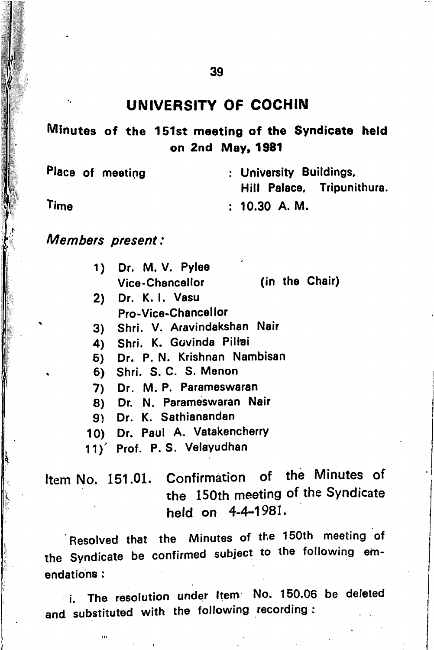#### UNIVERSITY OF COCHIN

Minutes of the 151st meeting of the Syndicate held on 2nd May, 1981

Place of meeting : University Buildings, Hill Palace, Tripunithura. : 10.30 A. M. Time

Members present:

I  $\mathcal{H}$ 1  $\frac{1}{2}$ 

 $\mathbb{Z}$  V.

 $\mathbf{V}$ 

| 1) Dr. M. V. Pylee<br><b>Vice-Chancellor</b> | (in the Chair) |
|----------------------------------------------|----------------|
| 2) Dr. K. I. Vasu                            |                |

- Pro-Vice-Chancellor
- 3) Shri. V. Aravindakshan Nair
- 
- 4) Shri. K. Govinda Pil<del>la</del>i<br>5) Dr. P.N. Krishnan Nar Dr. P. N. Krishnan Nambisan
- . 6) Shri. S. C. S. Menon
- 7) Dr. M. P. Parameswaran
- 8) Dr. N. Parameswaran Nair
- 9) Dr. K. Sathianandan
- 10) Dr. Paul A. Vatakencherry
- 11)" Prof. P. S. Velayudhan

Item No. 151.01. Confirmation of the Minutes of the 150th meeting of the Syndicate held on 4-4-1981.

Resolved that the Minutes of the 150th meeting of the Syndicate be confirmed subject to the following emendations :

i. The resolution under Item No. 150.06 be deleted and substituted with the following recording :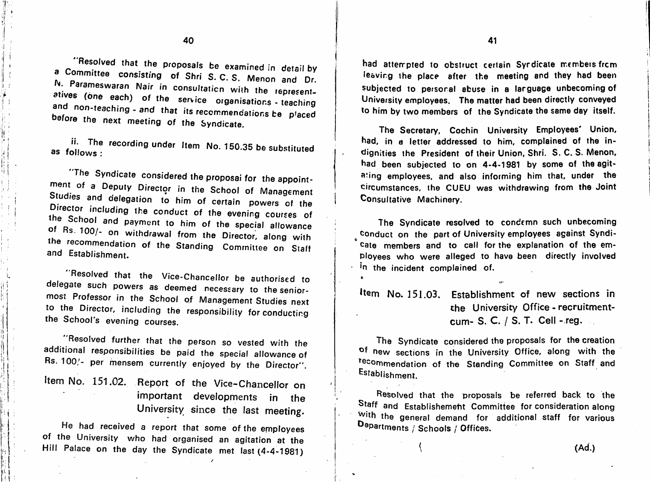"Resolved that the proposals be examined in detail by a Committee consisting of Shri S.C.S. Mones and Dr. consisting of Shri S. C. S. Menon and Dr. N. Parameswaran Nair in consultation with the represent-<br>atives (one each) of the service organisations - teaching and non-teaching - and that its recommendations - teaching before the next meeting of the Sundiacts. before the next meeting of the Syndicate.

s ' i

<sup>H</sup> ! f . 1

> me the recording under Item No. 150.35 be substituted as follows :

"The Syndicate considered the proposal for the appoint-<br>ment of a Deputy Director in the School of Management Studies and delegation to him of seats. Studies and delegation to him of certain powers of the **Encolor including the conduct of the evening courses of** the School and payment to him of the special allowance of Rs. 100/- on withdrawal from the Director, along with<br>the recommendation of the Ore ... **Fotoblish of the Standing Committee** and Establishment. the on Staff

**Exercise that the Vice-Chancellor be authorised to** delegate such powers as deemed necessary to thesenlormosi Professor in the School of Management Studies next to the Director, including the responsibility for conducting the School's evening courses.

**Resolved further that the person so vested with the** additional responsibilities be paid the special allowance of Rs. 100/- per mensem currently enjoyed by the Director".

Item No. 151.02. Report of the Vice-Chancellor on important developments in the University since the last meeting.

He had received a report that some of the ernployees of the University who had organised an agitation at the Hill Palace on the day the Syndicate met last (4-4-1981)

had attempted to obstruct certain Syndicate members from leavirg the place after the meeting and they had been subjected to personal abuse in a language unbecoming of University employees. The matter had been directly conveyed to him by two members of the Syndicate the same day itself.

The Secretary, Cochin University Employees' Union, had, in a letter addressed to him, complained of the in dignities the President of their Union, Shri. S. C. S. Menon, had been subjected to on 4-4-1981 by some of the agit ating employees, and also informing him that, under the circumstances, the CUEU was withdrawing from the Joint Consultative Machinery.

The Syndicate resolved to condemn such unbecoming Conduct on the part of University employees against Syndi cate members and to call for the explanation of the em ployees who were alleged to have been directly involved  $\cdot$  <sup>in</sup> the incident complained of.

item No, 151.03. Establishment of new sections in the University Office - recruitmentcum- S. C. / S. T. Cell - reg.

The Syndicate considered the proposals for the creation of new sections in the University Office, along with the recommendation of the Standing Committee on Staff and Establishment.

Resolved that the proposals be referred back to the Staff and Establishement Committee for consideration along with the general demand for additional staff for various Departments / Schools / Offices.

 $\mathcal{A}$  and  $\mathcal{A}$  and  $\mathcal{A}$  and  $\mathcal{A}$  and  $\mathcal{A}$  and  $\mathcal{A}$  and  $\mathcal{A}$  and  $\mathcal{A}$  and  $\mathcal{A}$  and  $\mathcal{A}$  and  $\mathcal{A}$  and  $\mathcal{A}$  and  $\mathcal{A}$  and  $\mathcal{A}$  and  $\mathcal{A}$  and  $\mathcal{A}$  and  $\mathcal{A}$  and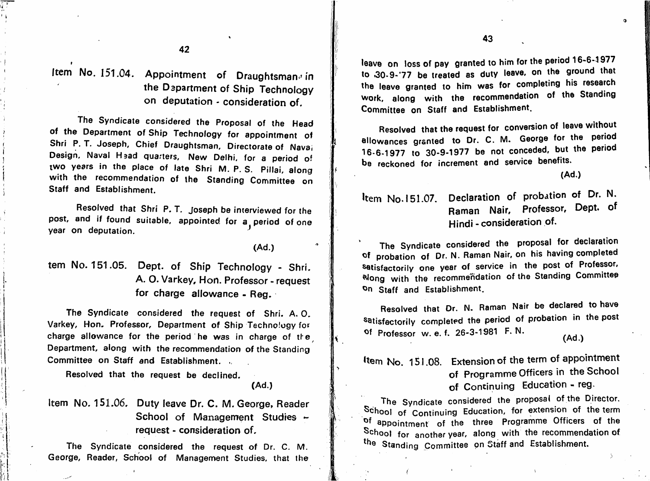V li -

. I

Item No. 151.04. Appointment of Draughtsman<sup>o</sup> in the Department of Ship Technology on deputation - consideration of.

The Syndicate considered the Proposal of the Head of the Department of Ship Technology for appointment of Shri P. T. Joseph, Chief Draughtsman, Directorate of Navai Design, Naval Hsad quarters, New Delhi, for a period of two years in the place of late Shri M. P. S. Pillai, along with the recommendation of the Standing Committee on Staff and Establishment.

Resolved that Shri P. T. Joseph be interviewed for the post, and if found suitable, appointed for a period of one year on deputation.

(Ad.)

tern No. 151.05. Dept, of Ship Technology - Shri. A. O. Varkey, Hon. Professor - request for charge allowance - Reg.

The Syndicate considered the request of Shri. A. 0. Varkey, Hon. Professor, Department of Ship Technology for charge allowance for the period he was in charge of the Department, along with the recommendation of the Standing Committee on Staff and Establishment.

Resolved that the request be declined.

(Ad.)

it '

 $\mathbf{A}$  : (a)  $\mathbf{A}$ 

Item No. 151.06. Duty leave Dr. C. M. George, Reader School of Management Studies request - consideration of.

The Syndicate considered the request of Dr. C. M. George, Reader, School of Management Studies, that the

leave on loss of pay granted to him for the period 16-6-1977 to 30.9-'77 be treated as duty leave, on the ground that the leave granted to him was for completing his research Work, along with the recommendation of the Standing Committee on Staff and Establishment.

Resolved that the request for conversion of leave without allowances granted to Dr. C. M. George for the period  $16-6-1977$  to  $30-9-1977$  be not conceded, but the period be reckoned for increment and service benefits.

(Ad.)

 $\bullet$ 

Item No. 151.07. Declaration of probation of Dr. N. Raman Nair, Professor, Dept, of Hindi - consideration of.

The Syndicate considered the proposal for declaration of probation of Dr. N. Raman Nair, on his having completed satisfactorily one year of service in the post of Professor, ^ong with the recommendation of the Standing Committee On Staff and Establishment.

Resolved that Dr. N. Raman Nair be declared to have satisfactorily completed the period of probation in the post ^f Professor w. e. f. 26-3-1981 F. N.

(Ad .)

## Item No. 151.08. Extension of the term of appointment of Programme Officers in the School of Continuing Education - reg.

The Syndicate considered the proposal of the Director. School of Continuing Education, for extension of the term of appointment of the three Programme Officers of the School for another year, along with the recommendation of the Standing Committee on Staff and Establishment.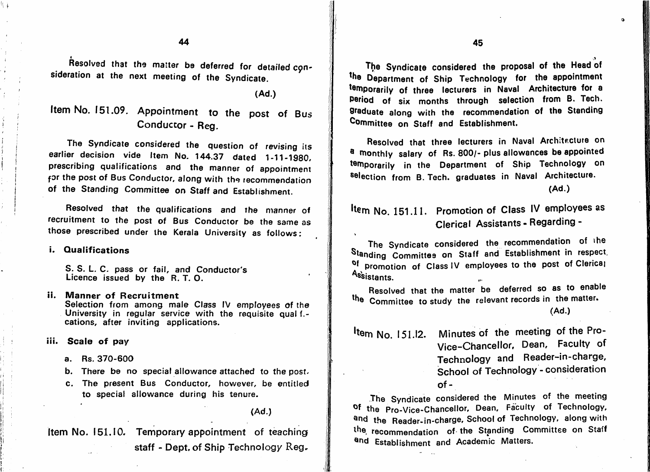44 45

Resolved that the matter be deferred for detailed con- **of the Syndicate considered the proposal of the Head** of the Head of the Head of the Head of the Head of the Head of the Head of the Head of the Head of the state of sideration at the next meeting of the Syndicate.

(Ad.)

41 W.

# Item No. 151.09. Appointment to the post of Bus Conductor - Reg.

The Syndicate considered the question of revising its earlier decision vide Item No. 144.37 dated 1-11-1980, prescribing qualifications and the manner of appointment for the post of Bus Conductor, along with the recommendation of the Standing Committee on Staff and Establishment.

Resolved that the qualifications and the manner of recruitment to the post of Bus Conductor be the same as those prescribed under the Kerala University as follows:

#### i. Qualifications

I-

I

S. S. L. C. pass or fail, and Conductor's Licence issued by the R. T. O.

- Manner of Recruitment ii. Selection from among male Class IV employees of the University in regular service with the requisite qual f.cations, after inviting applications.
- iii. Scale of pay
	- a. Rs. 370-600
	- b. There be no special allowance attached to the post.
	- c. The present Bus Conductor, however, be entitled to special allowance during his tenure.

Item No. 151.10. Temporary appointment of teaching staff - Dept, of Ship Technology Reg. the Department of Ship Technology for the appointment temporarily of three lecturers in Naval Architecture for a period of six months through selection from B. Tech, praduate along with the recommendation of the Standing Committee on Staff and Establishment.

Resolved that three lecturers in Naval Architecture on a monthly salary of Rs. 800/- plus allowances be appointed temporarily in the Department of Ship Technology on selection from B. Tech, graduates in Naval Architecture.

(Ad.)

# Item No. 151.11. Promotion of Class IV employees as Clerical Assistants - Regarding -

The Syndicate considered the recommendation of the Standing Committes on Staff and Establishment in respect, of promotion of Class IV employees to the post of Clerical Assistants.

Resolved that the matter be deferred so as to enable the Committee to study the relevant records in the matter.

 $\frac{m}{\epsilon}$  Minutes of the meeting of the river Vice-Chancellor, Dean, Faculty of Technology and Reader-in-charge, School of Technology - consideration of-

The Syndicate considered the Minutes of the meeting of the Pro-Vice-Chancellor, Dean, Faculty of Technology, and the Reader-in-charge, School of Technology, along with the recommendation of the Standing Committee on Staff and Establishment and Academic Matters.

<sup>(</sup>Ad.)

<sup>(</sup>Ad.)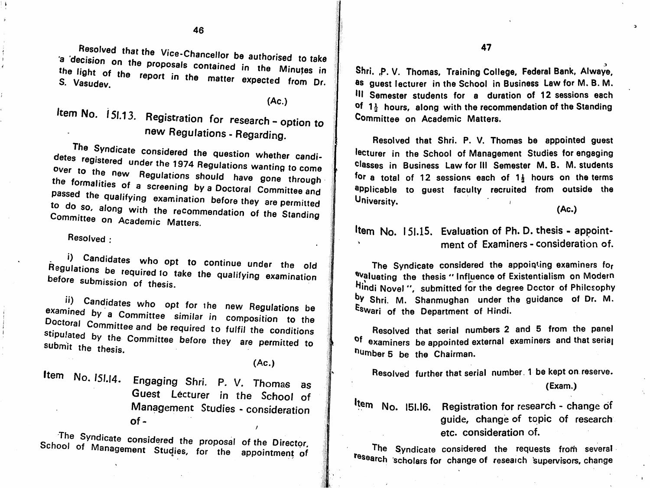Resolved that the Vice-Chancellor be authorised to take<br>a decision on the proposals contained in the Minutes in the light of the reposals contained in s. Vasudev. **Expected from Dr.** 

(Ac.)

# Item No. 151.13. Registration for research - option to Committee on Academic Matters. new Regulations - Regarding.

The Syndicate considered the question whether candiover to the new posulations at the the 1974 Regulations wanting to come over to the new Regulations should have gone through<br>the formalities of a screening by a Doctoral Committee and passed the qualifying examination before they are permitted<br>to do so, along with the recommendation of the Standing Committee on Academic Matters. detes

Resolved :

i tl

, Candidates who opt to continue under the old<br>Ilations be result to chain to continue under the old negulations be required to take the qualifying examination before submission of thesis.

ii) Candidates who opt for the new Regulations be examined by a Committee similar in composition to the<br>Doctoral Committee and be required to fulfil the conditions stipulated by the Committee before they are conditions submit the thesis.

(Ac.)

1

### Item No. 151.14. Engaging Shri. P. V. Thomas as Guest Lecturer in the School of Management Studies - consideration  $of -$

School of Management Studies, for the proposal of the Director. **If management Studies, for the appointment of**  47

Shri. p. V. Thomas, Training College, Federal Bank, Alwaye, ®s guest lecturer in the School in Business Law for M. B. M. ^11 Semester students for a duration of 12 sessions each of  $1\frac{1}{2}$  hours, along with the recommendation of the Standing Committee on Academic Matters.

Resolved that Shri. P. V. Thomas be appointed guest lecturer in the School of Management Studies for engaging classes in Business Law for III Semester M. B. M. students for a total of 12 sessions each of  $1\frac{1}{3}$  hours on the terms applicable to guest faculty recruited from outside the University.

(Ac.)

### Item  $No. 151.15.$  Evaluation of Ph. D. thesis - appointment of Examiners - consideration of.

The Syndicate considered the appointing examiners for <sup>evaluating</sup> the thesis "Influence of Existentialism on Modern Hindi Novel ", submitted for the degree Doctor of Philosophy by Shri. M. Shanmughan under the guidance of Dr. M. Eswari of the Department of Hindi.

Resolved that serial numbers 2 and 5 from the panel <sup>Of</sup> examiners be appointed external examiners and that seria<sub>l</sub> humber 5 be the Chairman.

Resolved further that serial number. 1 be kept on reserve.

(Exam.)

No. 151.16. Registration for research - change of guide, change of topic of research etc. consideration of.

The Syndicate considered the requests from several research scholars for change of reseaich supervisors, change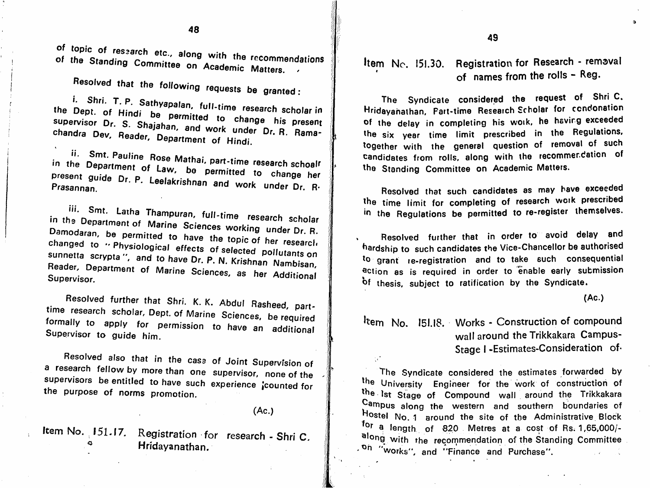of topic of research etc., along with the recommendations of the Standing Committee on Academic Matters.

Resolved that the following requests be granted;

 $\mathbf{S}$  is the possible time research scholar in aiahan and usels the present **Chandra Dev, Reader, Department Control of Dr. R. Rama**mandra Dev, Reader, Department of Hindi. i. Shri. T. P. the Dept. of Hindi

Prasannan. to change her and work under Dr. R.

iii. Smt. Latha Thampuran, full-time research scholar in the Department of Marine Sciences working under Dr. R.<br>Damodaran, he permitted to be a series of the series working under Dr. R. research selected pollutants<br>N. Krishnan Nambis. on Reader, Department of Marine Sciences, as her Additional Supervisor. Sciences, as her Additional if

Resolved further that Shri. K. K. Abdul Rasheed, parttime research scholar. Dept, of Marine Sciences formally to apply for permission to have Supervisor to guide him. pa rtes, be required<br>an additional

Resolved also that in the case of Joint Supervision of a research fellow by more than one supervisor, none of the supervisors be entitled to have such experience jcounted for the purpose of norms promotion .

(Ac.)

 $\sim$  J

‼∦

J/

 $\frac{1}{2}$   $\frac{1}{2}$   $\frac{1}{2}$   $\frac{1}{2}$   $\frac{1}{2}$   $\frac{1}{2}$   $\frac{1}{2}$   $\frac{1}{2}$   $\frac{1}{2}$   $\frac{1}{2}$   $\frac{1}{2}$   $\frac{1}{2}$   $\frac{1}{2}$   $\frac{1}{2}$   $\frac{1}{2}$   $\frac{1}{2}$   $\frac{1}{2}$   $\frac{1}{2}$   $\frac{1}{2}$   $\frac{1}{2}$   $\frac{1}{2}$   $\frac{1}{2}$  Hridayanathan.

## Item Nc. 151.30. Registration for Research - removal of names from the rolls - Reg.

The Syndicate considered the request of Shri C. Hridayahalhan, Part-time Research Scholar for condonation of the delay in completing his work, he having exceeded the six year time limit prescribed in the Regulations, together with the general question of removal of such candidates from rolls, along with the recommendation of the Standing Committee on Academic Matters.

Resolved that such candidates as may have exceeded the time limit for completing of research work prescribed in the Regulations be permitted to re-reglster themselves.

Resolved further that in order to avoid delay and hardship to such candidates the Vice-Chancellor be authorised ^o grant re-registration and to take such consequential action as is required in order to enable early submission of thesis, subject to ratification by the Syndicate.

(Ac.)

Item No. 151.18. Works - Construction of compound wall around the Trikkakara Campus-Stage I -Estimates-Consideration of-

The Syndicate considered the estimates forwarded by the University Engineer for the work of construction of the 1st Stage of Compound wall around the Trikkakara ^ampus along the western and southern boundaries of "<sup>10stel</sup> No. 1 around the site of the Administrative Block<br>\*for a length of  $820$  Metres at a cost of Rs. 1,65,000/along with the recommendation of the Standing Committee .<sup>Oh "works", and "Finance and Purchase".</sup>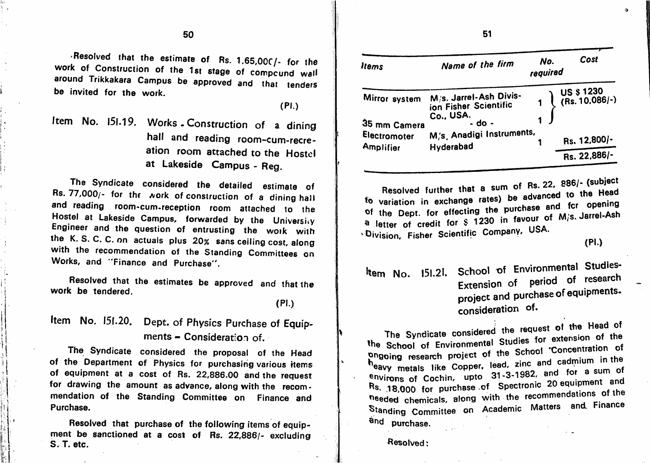$R$ esolved that the estimate of Rs. 1.65,00 $C$ /- for the work of Construction of the 1st stage of compound wall around Trikkakara Campus be approved and that tenders be invited for the work.

(PI.)

t

Item No. 151.19. Works. Construction of a dining hall and reading room-cum-recreation room attached to the Hostel at Lakeside Campus - Reg.

The Syndicate considered the detailed estimate of Rs. 77,000/- for thf Aork of construction of a dining hall and reading room-cum.reception room attached to the Hostel at Lakeside Campus, forwarded by the University Engineer and the question of entrusting the work with the K. S. C. C. on actuals plus 20% sans ceiling cost, along<br>....th with the recommendation of the Standing Committees on Works, and "Finance and Purchase".

work be tendered.

Item No. 151.20. Dept. of Physics Purchase of Equipments - Consideration of.

The Syndicate considered the proposal of the Head of the Department of Physics for purchasing various items of equipment at a cost of Rs. 22,886.00 and the request for drawing the amount as advance, along with the recom mendation of the Standing Committee on Finance and Purchase.

Resolved that purchase of the following items of equip ment be sanctioned at a cost of Rs. 22,886/- excluding S. T. etc.

it

I t

: -

| <b>Items</b>                  | Name of the firm                                                       | No.<br>required | Cost                                                                           |
|-------------------------------|------------------------------------------------------------------------|-----------------|--------------------------------------------------------------------------------|
| Mirror system<br>35 mm Camera | M/s. Jarrel-Ash Divis-<br>ion Fisher Scientific<br>Co., USA.<br>- do - |                 | $\begin{array}{c} \begin{array}{c} \end{array}$ US \$ 1230<br>1 (Rs. 10,086/-) |
| Electromoter<br>Amplifier     | M/s. Anadigi Instruments,<br>Hyderabad                                 |                 | Rs. 12,800/-                                                                   |
|                               |                                                                        |                 | Rs. 22,886/-                                                                   |

Resolved further that a sum of Rs. 22, 886/- (subject<br>to variation in exchange rates) be advanced to the Head of the Dept. for effecting the purchase and fcr opening a letter of credit for  $\frac{1}{2}$  1230 in favour of M/s. Jarrel-Ash 'Division, Fisher Scientific Company, USA.

(PL)

 $\mathbf{a}$ 

Resolved that the estimates be approved and that the **that is a set of that is a set of that the Resolved that the the that the the tendered conducts be approved and that the the that the textension of period of research** project and purchase of equipments, (PI.) project and project the project of the project of  $\mathbf{r}$ 

> The Syndicate considered the request of the Head of The School of Environmental Studies for extension of the phgoing research project of the School 'Concentration of hoavy metals like Copper, lead, zinc and cadmium in the environs of Cochin, upto 31-3-1982, and for a sum of Rs. 18,000 for purchase of Spectronic 20 equipment and needed chemicals, along with the recommendations of the Standing Committee on Academic Matters and Finance and purchase.

#### Resolved: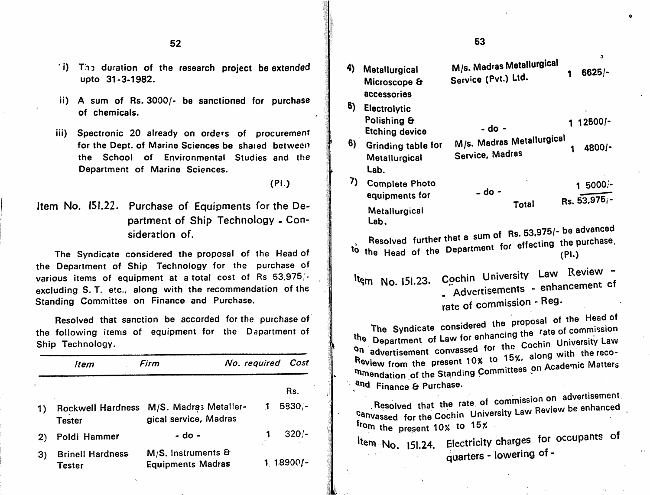- T: The duration of the research project be extended (4) Metallurgical upto 31-3-1982.
- ii) A sum of Rs. 3000/- be sanctioned for purchase of chemicals.
- iii) Spectronic 20 already on orders of procurement for the Dept, of Marine Sciences be shared between the School of Environmental Studies and the Department of Marine Sciences.

'●

i

partment of Ship Technology . Con sideration of.

The Syndicate considered the proposal of the Head of the Department of Ship Technology for the purchase of various items of equipment at a total cost of Rs  $53.975/$ excluding S. T. etc., along with the recommendation of the Standing Committee on Finance and Purchase.

Resolved that sanction be accorded for the purchase of the following items of equipment for the Department of Ship Technology.

|    | Item                                      | Firm                                             | No. required |             |  |
|----|-------------------------------------------|--------------------------------------------------|--------------|-------------|--|
|    |                                           |                                                  |              | Rs.         |  |
|    | <b>Rockwell Hardness</b><br><b>Tester</b> | M/S. Madras Metaller-<br>gical service, Madras   | 1            | $5830/-$    |  |
| 2) | Poldi Hammer                              | - do -                                           |              | $320/-$     |  |
| 3) | <b>Brinell Hardness</b><br>Tester         | $M/S.$ instruments &<br><b>Equipments Madras</b> |              | $1 18900/-$ |  |

#### $52$  53  $\bullet$ M/s. Madras Metallurgical 1 6625/- Service (Pvt.) Ltd. Microscope & accessories **5)** Electrolytic Polishing & 1 12500/- - do - Etching device 6) Grinding table for  $M/S.$  Madres Moternal 1 4800/- Service, Madras **Metallurgical** Lab. Complete Photo (PI.) 1 5000;- - do equipments for Item No.  $151.22$ . Purchase of Equipments for the De-<br>Metallurgical Total Rs. 53,976. Metallurgical<br>Lab. Lab. sum of  $RS$ ,  $53,3757$  be equipped. Resolved further that a effecting the purchase. the Head of the Department for  $($ Lit $)$ Item No. 151.23. Cochin University Law Review -No. 151.23. Cochin University<br>Advertisements - enhancement of Advertisements - enhancement of rate of commission - Reg. the proposal of the Head of the Department of Law for enhancing the rate of commission The Syndicate ite Department of Law for Silling Coohin University Law<br>On advertisement convassed for the Coohin with the reco-Review from the present 10% to 15%, along with the recommendation of the Standing Committees on Academic Matters and Finance & Purchase. Rs. **All and Commission on advertisement** Resolved that the rate of commission on Review be enhanced canvassed for the Cochin University Law from the present  $10<sub>x</sub>$  to  $15<sub>x</sub>$ 1 320/- **for the momentum** species of sectericity charges for occupants of  $\frac{1}{2}$  No. 151.24. Electricity charges quarters - lowering of -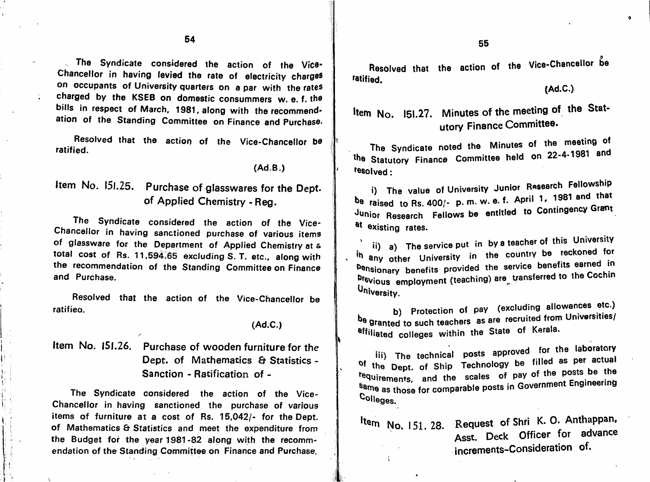$\overline{\mathbf{54}}$  54

The Syndicate considered the action of the Vice-Chancellor in having levied the rate of electricity charges on occupants of University quarters on a par with the rates charged by the KSEB on domestic consummers w. e. f. the bills in respect of March, 1981, along with the recommendation of the Standing Committee on Finance and Purchase.

Resolved that the action of the Vice-Chancellor be the Sundicate noted the Minutes of the meeting of the meeting of ratified.

(Ad.B.)

# Item No. 151.25. Purchase of glasswares for the Dept. of Applied Chemistry - Reg.

The Syndicate considered the action of the Vice-Chancellor in having sanctioned purchase of various items of glassware for the Department of Applied Chemistry at s total cost of Rs. 11,594.65 excluding S. T. etc., along with the recommendation of the Standing Committee on Finance and Purchase.

Resolved that the action of the Vice-Chancellor be ratifieo.

#### (Ad.C.)

### Item No. 151.26. Purchase of wooden furniture for the Dept. of Mathematics & Statistics -Sanction - Ratification of -

The Syndicate considered the action of the Vice-Chancellor in having sanctioned the purchase of various items of furniture at a cost of Rs. 15,042/- for the Dept, of Mathematics & Statistics and meet the expenditure from the Budget for the year 1981-82 along with the recomm endation of the Standing Committee on Finance and Purchase.

\

Resolved that the action of the Vice-Chancellor be fetified.

(Ad.C.)

 $\bullet$ 

Item No. 151.27. Minutes of the meeting of the Statutory Finance Committee.

The Syndicate noted the Minutes of the Syndicate noted the Minutes of The 22-4-1981 and ^^0 Statutory Finance Committee held on tesoived:

i) The value of University Junior Research Fellowship be raised to Rs. 400/- p. m. w. e. f. April 1, 1981 and that Junior Research Fellows be entitled to Contingency Grant <sup>at</sup> existing rates.

ii) a) The service put in by a teacher of this University any other University in the country benefits earned in hensionery benefits provided the service benefits earned m die employment (teaching) are used to the Coching of Cochine<br>List <sup>ih</sup> any other University in the country be reckoned for

University.<br>
b) Protection of pay (excluding allowances etc.) b) Protection of pay (excluding all properties etc.) The Granted to such teachers as are recruited from University affiliated colleges within the State of Kerala.

iii) The technical posts approved for the laboratory tequirements, and the scales of pay of the posts be the **The scales of pay of the scale of paying the Postering** Sanie as those for comparable posts in Government Engineering Engineering Engineering Engineering Engineering 'Colleges. of the Dept. of Ship Technology be filled as per actual

## No. 151, 28. Request of Shri K. O. Anthappan. Asst. Deck Officer for advance increments-Consideration of.

 $\left\langle \right\rangle$